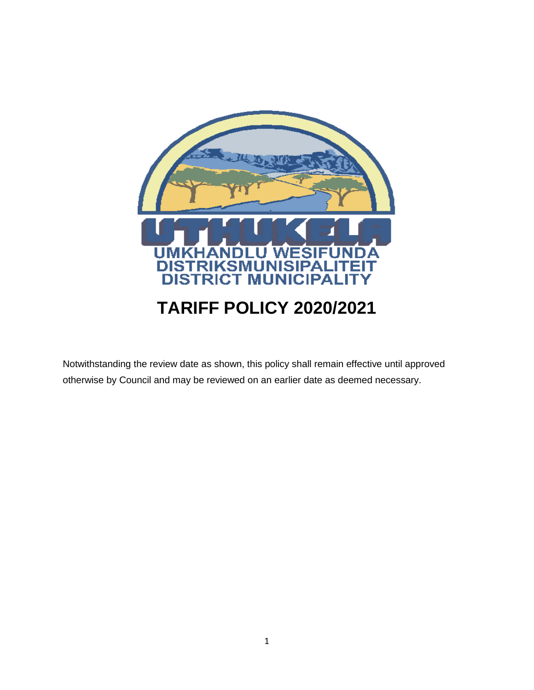

Notwithstanding the review date as shown, this policy shall remain effective until approved otherwise by Council and may be reviewed on an earlier date as deemed necessary.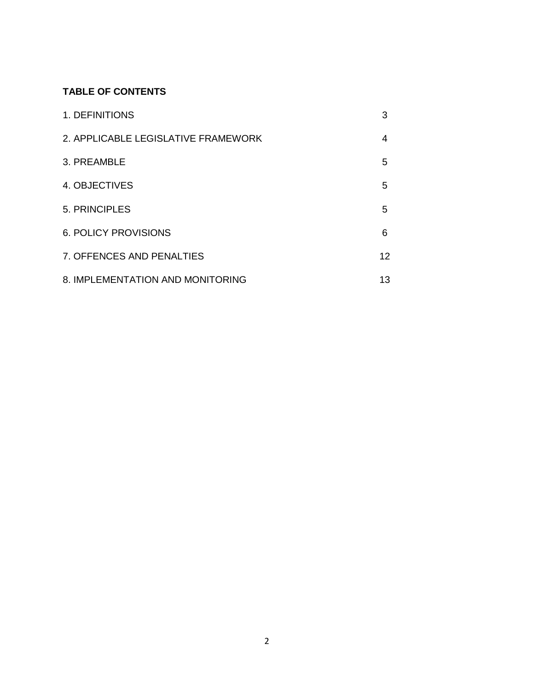# **TABLE OF CONTENTS**

| 1. DEFINITIONS                      | 3  |
|-------------------------------------|----|
| 2. APPLICABLE LEGISLATIVE FRAMEWORK | 4  |
| 3. PREAMBLE                         | 5  |
| 4. OBJECTIVES                       | 5  |
| 5. PRINCIPLES                       | 5  |
| <b>6. POLICY PROVISIONS</b>         | 6  |
| 7. OFFENCES AND PENALTIES           | 12 |
| 8. IMPLEMENTATION AND MONITORING    | 13 |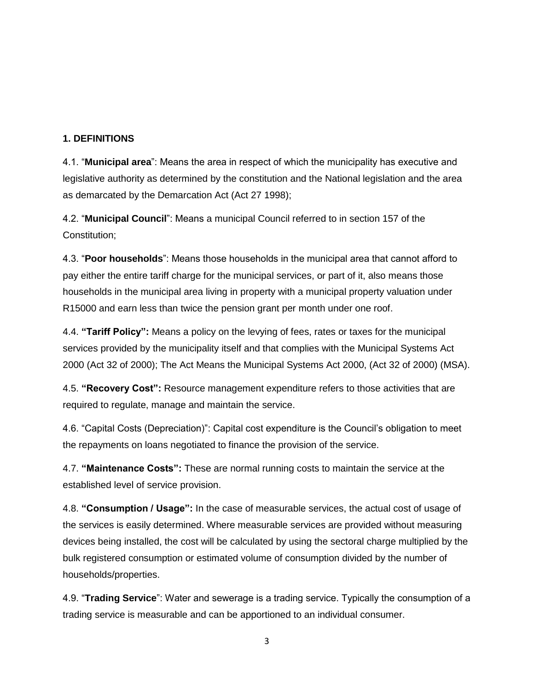### **1. DEFINITIONS**

4.1. "**Municipal area**": Means the area in respect of which the municipality has executive and legislative authority as determined by the constitution and the National legislation and the area as demarcated by the Demarcation Act (Act 27 1998);

4.2. "**Municipal Council**": Means a municipal Council referred to in section 157 of the Constitution;

4.3. "**Poor households**": Means those households in the municipal area that cannot afford to pay either the entire tariff charge for the municipal services, or part of it, also means those households in the municipal area living in property with a municipal property valuation under R15000 and earn less than twice the pension grant per month under one roof.

4.4. **"Tariff Policy":** Means a policy on the levying of fees, rates or taxes for the municipal services provided by the municipality itself and that complies with the Municipal Systems Act 2000 (Act 32 of 2000); The Act Means the Municipal Systems Act 2000, (Act 32 of 2000) (MSA).

4.5. **"Recovery Cost":** Resource management expenditure refers to those activities that are required to regulate, manage and maintain the service.

4.6. "Capital Costs (Depreciation)": Capital cost expenditure is the Council's obligation to meet the repayments on loans negotiated to finance the provision of the service.

4.7. **"Maintenance Costs":** These are normal running costs to maintain the service at the established level of service provision.

4.8. **"Consumption / Usage":** In the case of measurable services, the actual cost of usage of the services is easily determined. Where measurable services are provided without measuring devices being installed, the cost will be calculated by using the sectoral charge multiplied by the bulk registered consumption or estimated volume of consumption divided by the number of households/properties.

4.9. "**Trading Service**": Water and sewerage is a trading service. Typically the consumption of a trading service is measurable and can be apportioned to an individual consumer.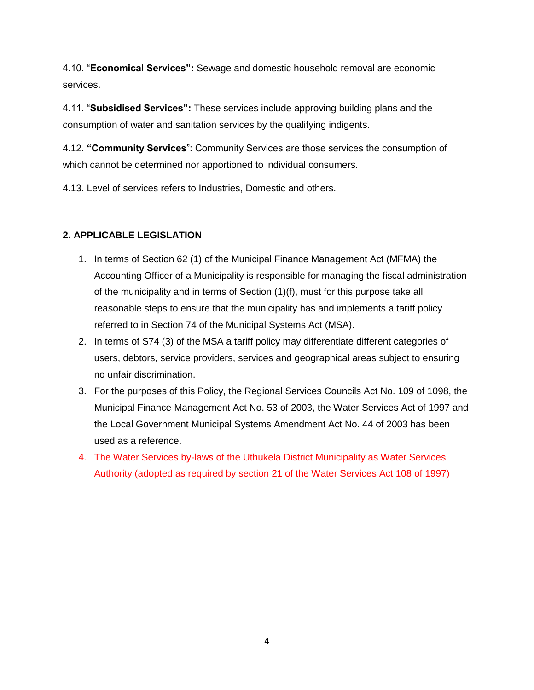4.10. "**Economical Services":** Sewage and domestic household removal are economic services.

4.11. "**Subsidised Services":** These services include approving building plans and the consumption of water and sanitation services by the qualifying indigents.

4.12. **"Community Services**": Community Services are those services the consumption of which cannot be determined nor apportioned to individual consumers.

4.13. Level of services refers to Industries, Domestic and others.

# **2. APPLICABLE LEGISLATION**

- 1. In terms of Section 62 (1) of the Municipal Finance Management Act (MFMA) the Accounting Officer of a Municipality is responsible for managing the fiscal administration of the municipality and in terms of Section (1)(f), must for this purpose take all reasonable steps to ensure that the municipality has and implements a tariff policy referred to in Section 74 of the Municipal Systems Act (MSA).
- 2. In terms of S74 (3) of the MSA a tariff policy may differentiate different categories of users, debtors, service providers, services and geographical areas subject to ensuring no unfair discrimination.
- 3. For the purposes of this Policy, the Regional Services Councils Act No. 109 of 1098, the Municipal Finance Management Act No. 53 of 2003, the Water Services Act of 1997 and the Local Government Municipal Systems Amendment Act No. 44 of 2003 has been used as a reference.
- 4. The Water Services by-laws of the Uthukela District Municipality as Water Services Authority (adopted as required by section 21 of the Water Services Act 108 of 1997)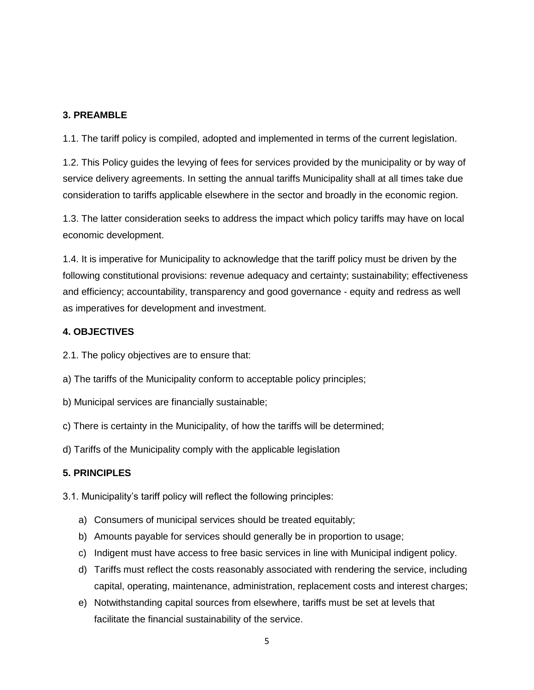# **3. PREAMBLE**

1.1. The tariff policy is compiled, adopted and implemented in terms of the current legislation.

1.2. This Policy guides the levying of fees for services provided by the municipality or by way of service delivery agreements. In setting the annual tariffs Municipality shall at all times take due consideration to tariffs applicable elsewhere in the sector and broadly in the economic region.

1.3. The latter consideration seeks to address the impact which policy tariffs may have on local economic development.

1.4. It is imperative for Municipality to acknowledge that the tariff policy must be driven by the following constitutional provisions: revenue adequacy and certainty; sustainability; effectiveness and efficiency; accountability, transparency and good governance - equity and redress as well as imperatives for development and investment.

# **4. OBJECTIVES**

2.1. The policy objectives are to ensure that:

a) The tariffs of the Municipality conform to acceptable policy principles;

- b) Municipal services are financially sustainable;
- c) There is certainty in the Municipality, of how the tariffs will be determined;

d) Tariffs of the Municipality comply with the applicable legislation

# **5. PRINCIPLES**

3.1. Municipality's tariff policy will reflect the following principles:

- a) Consumers of municipal services should be treated equitably;
- b) Amounts payable for services should generally be in proportion to usage;
- c) Indigent must have access to free basic services in line with Municipal indigent policy.
- d) Tariffs must reflect the costs reasonably associated with rendering the service, including capital, operating, maintenance, administration, replacement costs and interest charges;
- e) Notwithstanding capital sources from elsewhere, tariffs must be set at levels that facilitate the financial sustainability of the service.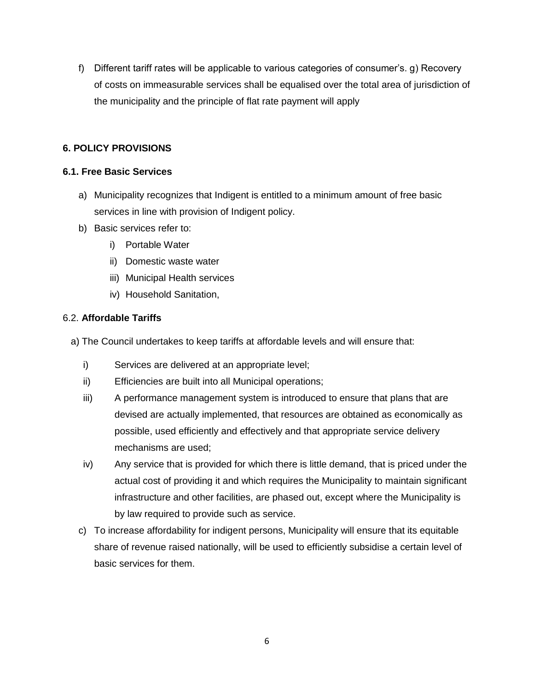f) Different tariff rates will be applicable to various categories of consumer's. g) Recovery of costs on immeasurable services shall be equalised over the total area of jurisdiction of the municipality and the principle of flat rate payment will apply

# **6. POLICY PROVISIONS**

# **6.1. Free Basic Services**

- a) Municipality recognizes that Indigent is entitled to a minimum amount of free basic services in line with provision of Indigent policy.
- b) Basic services refer to:
	- i) Portable Water
	- ii) Domestic waste water
	- iii) Municipal Health services
	- iv) Household Sanitation,

# 6.2. **Affordable Tariffs**

- a) The Council undertakes to keep tariffs at affordable levels and will ensure that:
	- i) Services are delivered at an appropriate level;
	- ii) Efficiencies are built into all Municipal operations;
	- iii) A performance management system is introduced to ensure that plans that are devised are actually implemented, that resources are obtained as economically as possible, used efficiently and effectively and that appropriate service delivery mechanisms are used;
	- iv) Any service that is provided for which there is little demand, that is priced under the actual cost of providing it and which requires the Municipality to maintain significant infrastructure and other facilities, are phased out, except where the Municipality is by law required to provide such as service.
	- c) To increase affordability for indigent persons, Municipality will ensure that its equitable share of revenue raised nationally, will be used to efficiently subsidise a certain level of basic services for them.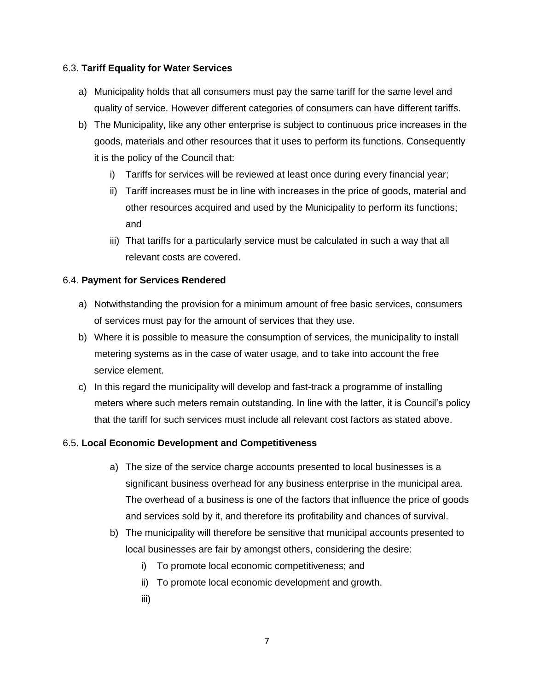#### 6.3. **Tariff Equality for Water Services**

- a) Municipality holds that all consumers must pay the same tariff for the same level and quality of service. However different categories of consumers can have different tariffs.
- b) The Municipality, like any other enterprise is subject to continuous price increases in the goods, materials and other resources that it uses to perform its functions. Consequently it is the policy of the Council that:
	- i) Tariffs for services will be reviewed at least once during every financial year;
	- ii) Tariff increases must be in line with increases in the price of goods, material and other resources acquired and used by the Municipality to perform its functions; and
	- iii) That tariffs for a particularly service must be calculated in such a way that all relevant costs are covered.

### 6.4. **Payment for Services Rendered**

- a) Notwithstanding the provision for a minimum amount of free basic services, consumers of services must pay for the amount of services that they use.
- b) Where it is possible to measure the consumption of services, the municipality to install metering systems as in the case of water usage, and to take into account the free service element.
- c) In this regard the municipality will develop and fast-track a programme of installing meters where such meters remain outstanding. In line with the latter, it is Council's policy that the tariff for such services must include all relevant cost factors as stated above.

# 6.5. **Local Economic Development and Competitiveness**

- a) The size of the service charge accounts presented to local businesses is a significant business overhead for any business enterprise in the municipal area. The overhead of a business is one of the factors that influence the price of goods and services sold by it, and therefore its profitability and chances of survival.
- b) The municipality will therefore be sensitive that municipal accounts presented to local businesses are fair by amongst others, considering the desire:
	- i) To promote local economic competitiveness; and
	- ii) To promote local economic development and growth.
	- iii)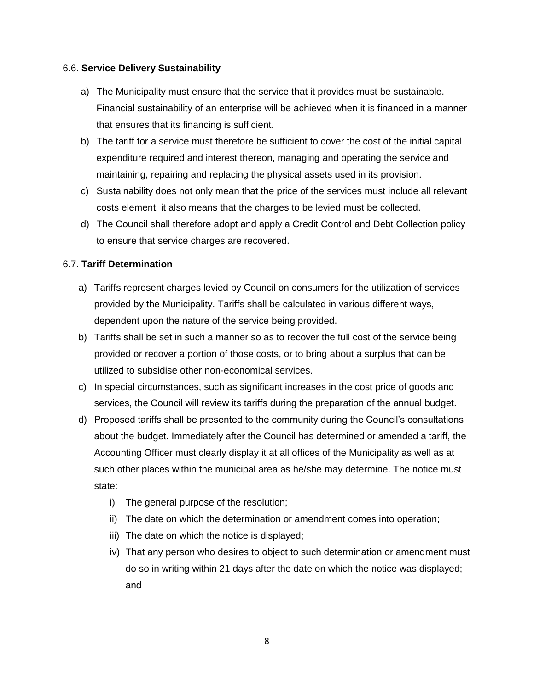#### 6.6. **Service Delivery Sustainability**

- a) The Municipality must ensure that the service that it provides must be sustainable. Financial sustainability of an enterprise will be achieved when it is financed in a manner that ensures that its financing is sufficient.
- b) The tariff for a service must therefore be sufficient to cover the cost of the initial capital expenditure required and interest thereon, managing and operating the service and maintaining, repairing and replacing the physical assets used in its provision.
- c) Sustainability does not only mean that the price of the services must include all relevant costs element, it also means that the charges to be levied must be collected.
- d) The Council shall therefore adopt and apply a Credit Control and Debt Collection policy to ensure that service charges are recovered.

### 6.7. **Tariff Determination**

- a) Tariffs represent charges levied by Council on consumers for the utilization of services provided by the Municipality. Tariffs shall be calculated in various different ways, dependent upon the nature of the service being provided.
- b) Tariffs shall be set in such a manner so as to recover the full cost of the service being provided or recover a portion of those costs, or to bring about a surplus that can be utilized to subsidise other non-economical services.
- c) In special circumstances, such as significant increases in the cost price of goods and services, the Council will review its tariffs during the preparation of the annual budget.
- d) Proposed tariffs shall be presented to the community during the Council's consultations about the budget. Immediately after the Council has determined or amended a tariff, the Accounting Officer must clearly display it at all offices of the Municipality as well as at such other places within the municipal area as he/she may determine. The notice must state:
	- i) The general purpose of the resolution;
	- ii) The date on which the determination or amendment comes into operation;
	- iii) The date on which the notice is displayed;
	- iv) That any person who desires to object to such determination or amendment must do so in writing within 21 days after the date on which the notice was displayed; and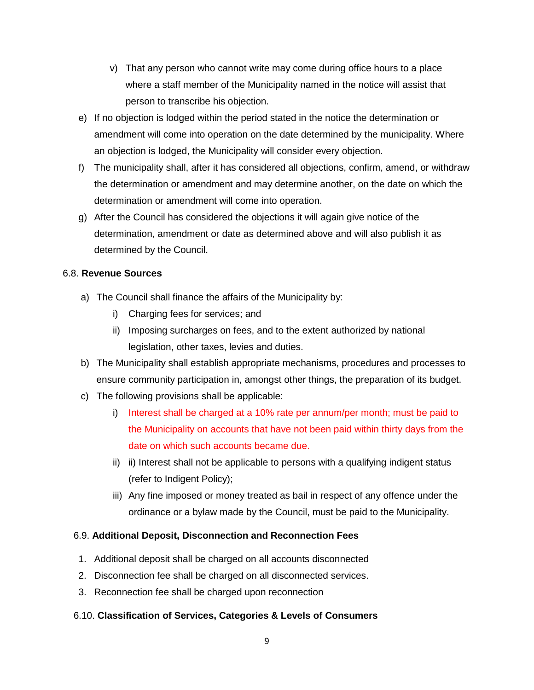- v) That any person who cannot write may come during office hours to a place where a staff member of the Municipality named in the notice will assist that person to transcribe his objection.
- e) If no objection is lodged within the period stated in the notice the determination or amendment will come into operation on the date determined by the municipality. Where an objection is lodged, the Municipality will consider every objection.
- f) The municipality shall, after it has considered all objections, confirm, amend, or withdraw the determination or amendment and may determine another, on the date on which the determination or amendment will come into operation.
- g) After the Council has considered the objections it will again give notice of the determination, amendment or date as determined above and will also publish it as determined by the Council.

# 6.8. **Revenue Sources**

- a) The Council shall finance the affairs of the Municipality by:
	- i) Charging fees for services; and
	- ii) Imposing surcharges on fees, and to the extent authorized by national legislation, other taxes, levies and duties.
- b) The Municipality shall establish appropriate mechanisms, procedures and processes to ensure community participation in, amongst other things, the preparation of its budget.
- c) The following provisions shall be applicable:
	- i) Interest shall be charged at a 10% rate per annum/per month; must be paid to the Municipality on accounts that have not been paid within thirty days from the date on which such accounts became due.
	- ii) ii) Interest shall not be applicable to persons with a qualifying indigent status (refer to Indigent Policy);
	- iii) Any fine imposed or money treated as bail in respect of any offence under the ordinance or a bylaw made by the Council, must be paid to the Municipality.

# 6.9. **Additional Deposit, Disconnection and Reconnection Fees**

- 1. Additional deposit shall be charged on all accounts disconnected
- 2. Disconnection fee shall be charged on all disconnected services.
- 3. Reconnection fee shall be charged upon reconnection

# 6.10. **Classification of Services, Categories & Levels of Consumers**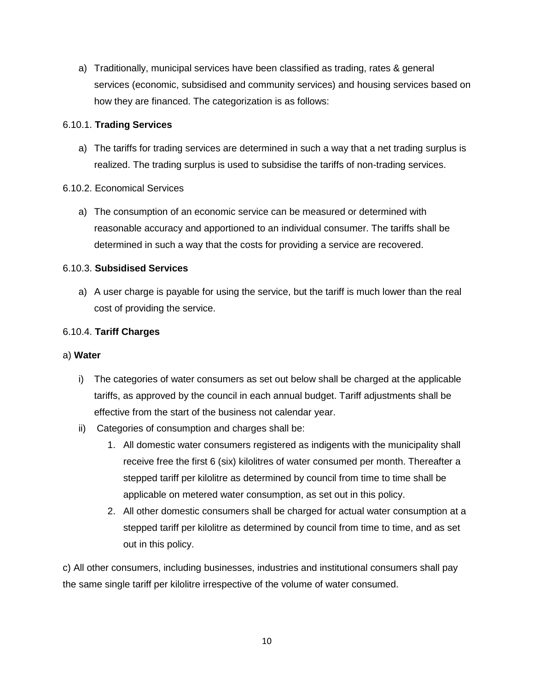a) Traditionally, municipal services have been classified as trading, rates & general services (economic, subsidised and community services) and housing services based on how they are financed. The categorization is as follows:

### 6.10.1. **Trading Services**

a) The tariffs for trading services are determined in such a way that a net trading surplus is realized. The trading surplus is used to subsidise the tariffs of non-trading services.

### 6.10.2. Economical Services

a) The consumption of an economic service can be measured or determined with reasonable accuracy and apportioned to an individual consumer. The tariffs shall be determined in such a way that the costs for providing a service are recovered.

### 6.10.3. **Subsidised Services**

a) A user charge is payable for using the service, but the tariff is much lower than the real cost of providing the service.

### 6.10.4. **Tariff Charges**

#### a) **Water**

- i) The categories of water consumers as set out below shall be charged at the applicable tariffs, as approved by the council in each annual budget. Tariff adjustments shall be effective from the start of the business not calendar year.
- ii) Categories of consumption and charges shall be:
	- 1. All domestic water consumers registered as indigents with the municipality shall receive free the first 6 (six) kilolitres of water consumed per month. Thereafter a stepped tariff per kilolitre as determined by council from time to time shall be applicable on metered water consumption, as set out in this policy.
	- 2. All other domestic consumers shall be charged for actual water consumption at a stepped tariff per kilolitre as determined by council from time to time, and as set out in this policy.

c) All other consumers, including businesses, industries and institutional consumers shall pay the same single tariff per kilolitre irrespective of the volume of water consumed.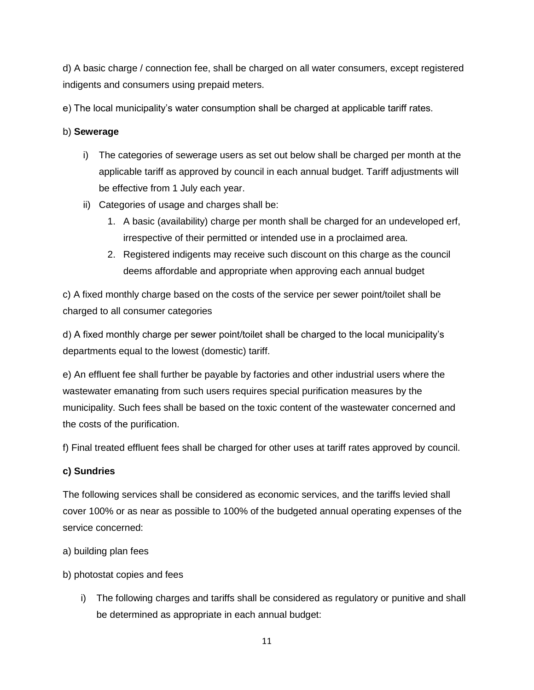d) A basic charge / connection fee, shall be charged on all water consumers, except registered indigents and consumers using prepaid meters.

e) The local municipality's water consumption shall be charged at applicable tariff rates.

# b) **Sewerage**

- i) The categories of sewerage users as set out below shall be charged per month at the applicable tariff as approved by council in each annual budget. Tariff adjustments will be effective from 1 July each year.
- ii) Categories of usage and charges shall be:
	- 1. A basic (availability) charge per month shall be charged for an undeveloped erf, irrespective of their permitted or intended use in a proclaimed area.
	- 2. Registered indigents may receive such discount on this charge as the council deems affordable and appropriate when approving each annual budget

c) A fixed monthly charge based on the costs of the service per sewer point/toilet shall be charged to all consumer categories

d) A fixed monthly charge per sewer point/toilet shall be charged to the local municipality's departments equal to the lowest (domestic) tariff.

e) An effluent fee shall further be payable by factories and other industrial users where the wastewater emanating from such users requires special purification measures by the municipality. Such fees shall be based on the toxic content of the wastewater concerned and the costs of the purification.

f) Final treated effluent fees shall be charged for other uses at tariff rates approved by council.

# **c) Sundries**

The following services shall be considered as economic services, and the tariffs levied shall cover 100% or as near as possible to 100% of the budgeted annual operating expenses of the service concerned:

- a) building plan fees
- b) photostat copies and fees
	- i) The following charges and tariffs shall be considered as regulatory or punitive and shall be determined as appropriate in each annual budget: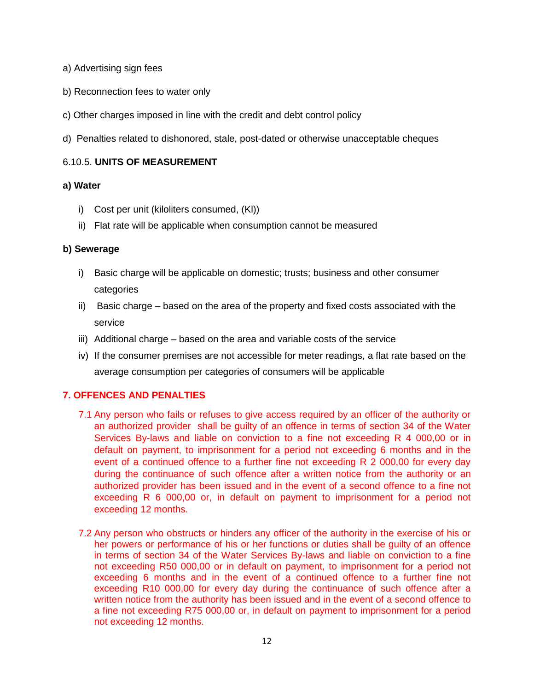- a) Advertising sign fees
- b) Reconnection fees to water only
- c) Other charges imposed in line with the credit and debt control policy
- d) Penalties related to dishonored, stale, post-dated or otherwise unacceptable cheques

#### 6.10.5. **UNITS OF MEASUREMENT**

#### **a) Water**

- i) Cost per unit (kiloliters consumed, (Kl))
- ii) Flat rate will be applicable when consumption cannot be measured

#### **b) Sewerage**

- i) Basic charge will be applicable on domestic; trusts; business and other consumer categories
- ii) Basic charge based on the area of the property and fixed costs associated with the service
- iii) Additional charge based on the area and variable costs of the service
- iv) If the consumer premises are not accessible for meter readings, a flat rate based on the average consumption per categories of consumers will be applicable

#### **7. OFFENCES AND PENALTIES**

- 7.1 Any person who fails or refuses to give access required by an officer of the authority or an authorized provider shall be guilty of an offence in terms of section 34 of the Water Services By-laws and liable on conviction to a fine not exceeding R 4 000,00 or in default on payment, to imprisonment for a period not exceeding 6 months and in the event of a continued offence to a further fine not exceeding R 2 000,00 for every day during the continuance of such offence after a written notice from the authority or an authorized provider has been issued and in the event of a second offence to a fine not exceeding R 6 000,00 or, in default on payment to imprisonment for a period not exceeding 12 months.
- 7.2 Any person who obstructs or hinders any officer of the authority in the exercise of his or her powers or performance of his or her functions or duties shall be guilty of an offence in terms of section 34 of the Water Services By-laws and liable on conviction to a fine not exceeding R50 000,00 or in default on payment, to imprisonment for a period not exceeding 6 months and in the event of a continued offence to a further fine not exceeding R10 000,00 for every day during the continuance of such offence after a written notice from the authority has been issued and in the event of a second offence to a fine not exceeding R75 000,00 or, in default on payment to imprisonment for a period not exceeding 12 months.